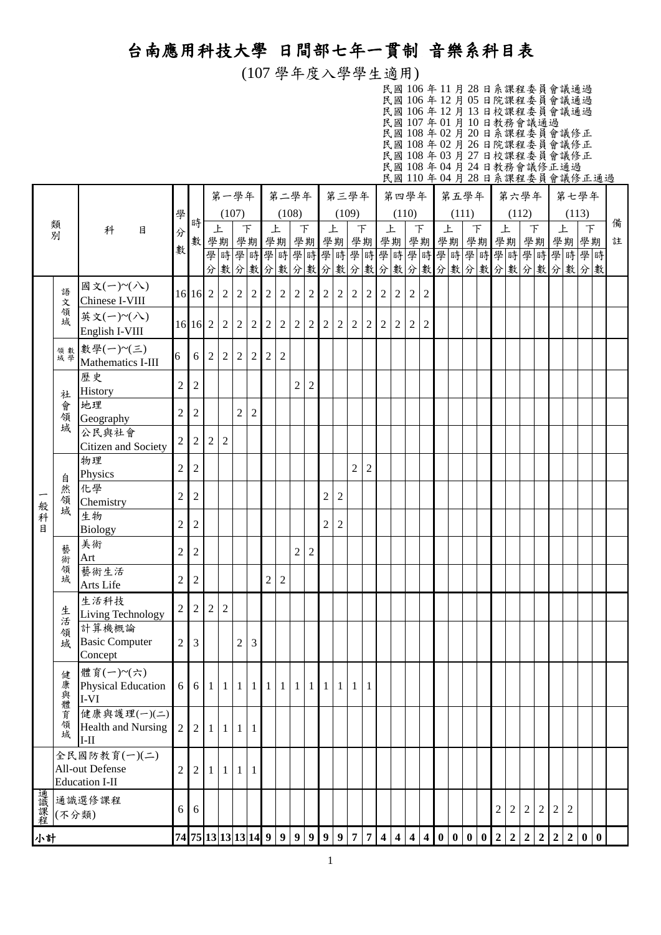## 台南應用科技大學 日間部七年一貫制 音樂系科目表

(107 學年度入學學生適用)

| 民國106年11月28日系課程委員會議通過       |  |  |  |  |  |  |  |  |
|-----------------------------|--|--|--|--|--|--|--|--|
| 民國106年12月05日院課程委員會議通過       |  |  |  |  |  |  |  |  |
| 民國 106 年 12 月 13 日校課程委員會議通過 |  |  |  |  |  |  |  |  |
| 民國 107年01月10日教務會議通過         |  |  |  |  |  |  |  |  |
| 民國 108 年 02 月 20 日系課程委員會議修正 |  |  |  |  |  |  |  |  |
| 民國 108 年 02 月 26 日院課程委員會議修正 |  |  |  |  |  |  |  |  |
| 民國 108年03月27日校課程委員會議修正      |  |  |  |  |  |  |  |  |
| 民國 108年04月24日教務會議修正通過       |  |  |  |  |  |  |  |  |
| 民國110年04月28日系課程委員會議修正通過     |  |  |  |  |  |  |  |  |

|       |                                                    |                                          |                                       |                       |                | 第一學年 第二學年      |                |                |                |                |                |                |                |                | 第三學年           |                |                  |       | 第四學年           |                |               | 第五學年  |                         |  |                |                | 第六學年           |                |                |                | 第七學年                           |  |   |
|-------|----------------------------------------------------|------------------------------------------|---------------------------------------|-----------------------|----------------|----------------|----------------|----------------|----------------|----------------|----------------|----------------|----------------|----------------|----------------|----------------|------------------|-------|----------------|----------------|---------------|-------|-------------------------|--|----------------|----------------|----------------|----------------|----------------|----------------|--------------------------------|--|---|
|       |                                                    |                                          | 學                                     | 時                     |                | (107)          |                |                |                | (108)          |                |                |                |                | (109)          |                |                  | (110) |                |                |               | (111) |                         |  |                | (112)          |                |                |                | (113)          |                                |  | 備 |
|       | 類別                                                 | 科<br>目                                   | 分                                     | 數 學期 學期               |                | 上              | $\top$         |                | 上              |                | $\top$         |                | 上              |                | $\top$         |                | 上                |       | $\top$         |                | 上             |       | $\top$                  |  | 上              |                | $\top$         |                | 上              |                | $\top$                         |  | 註 |
|       |                                                    |                                          | 數                                     |                       |                |                |                |                |                |                |                |                |                |                |                |                |                  |       |                |                |               |       |                         |  |                |                |                |                |                |                |                                |  |   |
|       |                                                    | 國文(一)~(八)                                |                                       |                       |                |                |                |                |                |                |                |                |                |                |                |                |                  |       |                |                |               |       |                         |  |                |                |                |                |                |                | 分數分數分數分數分數分數分數分數分數分數分數分數分數分數分數 |  |   |
|       | 語<br>文                                             | Chinese I-VIII                           |                                       | 16 16 2               |                | $2 \mid 2$     |                | $\overline{2}$ | $\overline{2}$ | $\overline{2}$ | $\overline{2}$ | $\overline{2}$ | 2              | $\overline{2}$ | $\sqrt{2}$     | $\overline{2}$ | $\sqrt{2}$       | 2     | $\overline{2}$ | $\overline{2}$ |               |       |                         |  |                |                |                |                |                |                |                                |  |   |
|       | 領<br>域                                             | 英文(一)~(八)                                |                                       | 16 16 2               |                | $2 \mid 2$     |                | 2              | $\overline{2}$ | $\overline{2}$ | $\overline{2}$ | $\overline{2}$ | 2              | $\sqrt{2}$     | $\sqrt{2}$     | $\overline{2}$ | $\boldsymbol{2}$ | 2     | $\overline{2}$ | $\overline{2}$ |               |       |                         |  |                |                |                |                |                |                |                                |  |   |
|       |                                                    | English I-VIII<br>數學(一)~(三)              |                                       |                       |                |                |                |                |                |                |                |                |                |                |                |                |                  |       |                |                |               |       |                         |  |                |                |                |                |                |                |                                |  |   |
|       | 領數學                                                | Mathematics I-III                        | 6                                     | 6                     | 2              | $\overline{2}$ | 2              | 2              | $\overline{2}$ | $\overline{c}$ |                |                |                |                |                |                |                  |       |                |                |               |       |                         |  |                |                |                |                |                |                |                                |  |   |
|       |                                                    | 歷史<br>History                            | $\sqrt{2}$                            | $\sqrt{2}$            |                |                |                |                |                |                | $\overline{c}$ | $\overline{2}$ |                |                |                |                |                  |       |                |                |               |       |                         |  |                |                |                |                |                |                |                                |  |   |
|       | 社<br>會<br>地理                                       |                                          | $\overline{2}$                        | $\overline{2}$        |                |                | $\overline{2}$ | 2              |                |                |                |                |                |                |                |                |                  |       |                |                |               |       |                         |  |                |                |                |                |                |                |                                |  |   |
|       | 一領域<br>Geography                                   |                                          |                                       |                       |                |                |                |                |                |                |                |                |                |                |                |                |                  |       |                |                |               |       |                         |  |                |                |                |                |                |                |                                |  |   |
|       | 公民與社會<br>Citizen and Society                       |                                          | $\sqrt{2}$                            | $\sqrt{2}$            | $\overline{2}$ | $\overline{2}$ |                |                |                |                |                |                |                |                |                |                |                  |       |                |                |               |       |                         |  |                |                |                |                |                |                |                                |  |   |
|       |                                                    | 物理<br>Physics                            | $\sqrt{2}$                            | $\overline{2}$        |                |                |                |                |                |                |                |                |                |                | $\overline{c}$ | $\overline{2}$ |                  |       |                |                |               |       |                         |  |                |                |                |                |                |                |                                |  |   |
|       | 自然                                                 | 化學                                       |                                       |                       |                |                |                |                |                |                |                |                |                |                |                |                |                  |       |                |                |               |       |                         |  |                |                |                |                |                |                |                                |  |   |
|       | 領域                                                 | Chemistry                                | $\sqrt{2}$                            | $\sqrt{2}$            |                |                |                |                |                |                |                |                | 2              | $\overline{2}$ |                |                |                  |       |                |                |               |       |                         |  |                |                |                |                |                |                |                                |  |   |
| 般科目   |                                                    | 生物<br><b>Biology</b>                     | $\overline{c}$                        | $\sqrt{2}$            |                |                |                |                |                |                |                |                | $\overline{2}$ | $\overline{2}$ |                |                |                  |       |                |                |               |       |                         |  |                |                |                |                |                |                |                                |  |   |
|       | 藝術                                                 | 美術                                       | $\sqrt{2}$                            | $\sqrt{2}$            |                |                |                |                |                |                | $\overline{c}$ | $\mathfrak{2}$ |                |                |                |                |                  |       |                |                |               |       |                         |  |                |                |                |                |                |                |                                |  |   |
|       | 領                                                  | Art<br>藝術生活                              |                                       |                       |                |                |                |                |                |                |                |                |                |                |                |                |                  |       |                |                |               |       |                         |  |                |                |                |                |                |                |                                |  |   |
|       | 域                                                  | Arts Life                                | $\overline{c}$                        | $\sqrt{2}$            |                |                |                |                | $\mathfrak{2}$ | $\overline{c}$ |                |                |                |                |                |                |                  |       |                |                |               |       |                         |  |                |                |                |                |                |                |                                |  |   |
|       |                                                    | 生活科技<br>Living Technology                | $\overline{2}$                        | $\overline{2}$        | $\overline{2}$ | $\overline{2}$ |                |                |                |                |                |                |                |                |                |                |                  |       |                |                |               |       |                         |  |                |                |                |                |                |                |                                |  |   |
|       | 生活<br>領                                            | 計算機概論                                    |                                       |                       |                |                |                |                |                |                |                |                |                |                |                |                |                  |       |                |                |               |       |                         |  |                |                |                |                |                |                |                                |  |   |
|       | 域                                                  | <b>Basic Computer</b>                    | $\overline{2}$                        | $\overline{3}$        |                |                | $\overline{2}$ | 3              |                |                |                |                |                |                |                |                |                  |       |                |                |               |       |                         |  |                |                |                |                |                |                |                                |  |   |
|       |                                                    | Concept                                  |                                       |                       |                |                |                |                |                |                |                |                |                |                |                |                |                  |       |                |                |               |       |                         |  |                |                |                |                |                |                |                                |  |   |
|       |                                                    | 健 體育(一)~(六)<br><b>Physical Education</b> |                                       | 6 6 1 1 1 1 1 1 1 1 1 |                |                |                |                |                |                |                |                |                | $1\vert$       |                | 1 1            |                  |       |                |                |               |       |                         |  |                |                |                |                |                |                |                                |  |   |
|       |                                                    | I-VI                                     |                                       |                       |                |                |                |                |                |                |                |                |                |                |                |                |                  |       |                |                |               |       |                         |  |                |                |                |                |                |                |                                |  |   |
|       | 康與體育領域<br>健康與護理(一)(二)<br><b>Health and Nursing</b> |                                          | $\overline{2}$                        | $\overline{2}$        | $\mathbf{1}$   | $1 \mid 1$     |                | 1              |                |                |                |                |                |                |                |                |                  |       |                |                |               |       |                         |  |                |                |                |                |                |                |                                |  |   |
|       | $I-II$                                             |                                          |                                       |                       |                |                |                |                |                |                |                |                |                |                |                |                |                  |       |                |                |               |       |                         |  |                |                |                |                |                |                |                                |  |   |
|       | 全民國防教育(一)(二)<br>All-out Defense                    |                                          | $\mathfrak{2}$                        | $\sqrt{2}$            | $\mathbf{1}$   | 1              | 1              | 1              |                |                |                |                |                |                |                |                |                  |       |                |                |               |       |                         |  |                |                |                |                |                |                |                                |  |   |
|       | <b>Education I-II</b>                              |                                          |                                       |                       |                |                |                |                |                |                |                |                |                |                |                |                |                  |       |                |                |               |       |                         |  |                |                |                |                |                |                |                                |  |   |
| 通識課程  | 通識選修課程                                             |                                          | 6                                     | 6                     |                |                |                |                |                |                |                |                |                |                |                |                |                  |       |                |                |               |       |                         |  | $\sqrt{2}$     | $\overline{2}$ | $\overline{2}$ | 2              | 2              | $\overline{2}$ |                                |  |   |
| (不分類) |                                                    |                                          |                                       |                       |                |                |                |                |                |                |                |                |                |                |                |                |                  |       |                |                |               |       |                         |  |                |                |                |                |                |                |                                |  |   |
| 小計    |                                                    |                                          | 74 75 13 13 13 14 9 9 9 9 9 9 7 7 4 4 |                       |                |                |                |                |                |                |                |                |                |                |                |                |                  |       |                |                | 4  4  0  0  0 |       | $\vert 0 \vert 2 \vert$ |  | $\overline{2}$ | $\overline{2}$ | $2\vert$       | $\overline{2}$ | $\overline{2}$ | $\mathbf{0}$   | $\mathbf{0}$                   |  |   |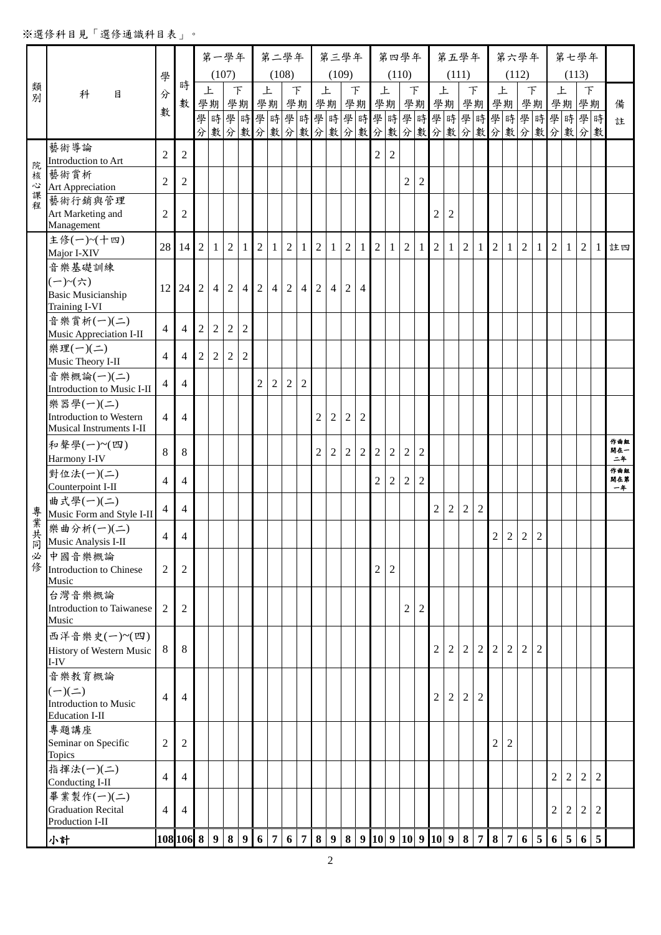## ※選修科目見「選修通識科目表」。

|        |                                                |                |                |                | 第一學年           |                |                |                     |                | 第二學年           |                |                |                | 第三學年           |                |                |                  | 第四學年           |                |                                  | 第五學年           |                |                |                |                | 第六學年           |                  |                |                | 第七學年             |                |            |
|--------|------------------------------------------------|----------------|----------------|----------------|----------------|----------------|----------------|---------------------|----------------|----------------|----------------|----------------|----------------|----------------|----------------|----------------|------------------|----------------|----------------|----------------------------------|----------------|----------------|----------------|----------------|----------------|----------------|------------------|----------------|----------------|------------------|----------------|------------|
|        |                                                | 學              | 時              |                | (107)          |                |                |                     |                | (108)          |                |                | (109)          |                |                |                | (110)            |                |                |                                  | (111)          |                |                |                | (112)          |                |                  |                |                | (113)            |                |            |
| 類<br>別 | 科<br>目                                         | 分              | 數              |                | 上              |                | $\top$         |                     | 上              |                | F              | 上              |                |                | $\top$         | 上              |                  | F              |                | 上<br>學期 學期 學期 學期 學期 学期 学期 学期 学期  |                | $\top$         |                | 上              |                |                | $\top$<br>學期學期學期 |                | 上<br>學期        | $\top$<br>學期     |                | 備          |
|        |                                                | 數              |                |                |                |                |                |                     |                |                |                |                |                |                |                |                |                  |                |                | 學時學時學時學時學時學時學時學時學時學時學時學時學時學時學時   |                |                |                |                |                |                |                  |                |                |                  |                | 註          |
|        |                                                |                |                |                |                |                |                |                     |                |                |                |                |                |                |                |                |                  |                |                | 分數分數分數分數分數分數分數分數分數分數分數分數分數分數分數分數 |                |                |                |                |                |                |                  |                |                |                  |                |            |
|        | 藝術導論<br>Introduction to Art                    | $\overline{2}$ | $\overline{2}$ |                |                |                |                |                     |                |                |                |                |                |                |                | $\overline{2}$ | $\mathfrak{2}$   |                |                |                                  |                |                |                |                |                |                |                  |                |                |                  |                |            |
| 院<br>核 | 藝術賞析                                           |                |                |                |                |                |                |                     |                |                |                |                |                |                |                |                |                  |                |                |                                  |                |                |                |                |                |                |                  |                |                |                  |                |            |
| 心<br>課 | <b>Art Appreciation</b>                        | $\overline{2}$ | $\overline{2}$ |                |                |                |                |                     |                |                |                |                |                |                |                |                |                  | $\overline{2}$ | $\overline{2}$ |                                  |                |                |                |                |                |                |                  |                |                |                  |                |            |
| 寉      | 藝術行銷與管理<br>Art Marketing and                   | $\overline{c}$ | $\mathbf{2}$   |                |                |                |                |                     |                |                |                |                |                |                |                |                |                  |                |                | $\overline{c}$                   | $\mathfrak{2}$ |                |                |                |                |                |                  |                |                |                  |                |            |
|        | Management                                     |                |                |                |                |                |                |                     |                |                |                |                |                |                |                |                |                  |                |                |                                  |                |                |                |                |                |                |                  |                |                |                  |                |            |
|        | 主修(一)~(十四)<br>Major I-XIV                      | 28             | 14             | 2 <sup>1</sup> | $\mathbf{1}$   | $\overline{2}$ | -1             | $\overline{2}$      | -1             | $\overline{2}$ | $\mathbf{1}$   | 2 <sup>1</sup> | 1              | $\overline{2}$ | $\mathbf{1}$   | 2              | $\mathbf{1}$     | $\overline{2}$ | $\mathbf{1}$   | $\overline{2}$                   | -1             | $\overline{2}$ | 1              | $\overline{2}$ | $\mathbf{1}$   | 2              | $\mathbf{1}$     | 2 <sup>1</sup> | 1              | $\overline{2}$   | $\mathbf{1}$   | 註四         |
|        | 音樂基礎訓練                                         |                |                |                |                |                |                |                     |                |                |                |                |                |                |                |                |                  |                |                |                                  |                |                |                |                |                |                |                  |                |                |                  |                |            |
|        | $(-)$ ~(六)                                     | 12             | 24             |                | 2 4            | 2              | $\overline{4}$ | $\overline{2}$      | $\overline{4}$ | $\overline{2}$ |                | 4 2            | $\overline{4}$ | 2              | $\overline{4}$ |                |                  |                |                |                                  |                |                |                |                |                |                |                  |                |                |                  |                |            |
|        | <b>Basic Musicianship</b><br>Training I-VI     |                |                |                |                |                |                |                     |                |                |                |                |                |                |                |                |                  |                |                |                                  |                |                |                |                |                |                |                  |                |                |                  |                |            |
|        | 音樂賞析(一)(二)                                     | $\overline{4}$ | $\overline{4}$ | $\overline{c}$ | $\sqrt{2}$     | $\sqrt{2}$     | $\overline{2}$ |                     |                |                |                |                |                |                |                |                |                  |                |                |                                  |                |                |                |                |                |                |                  |                |                |                  |                |            |
|        | Music Appreciation I-II<br>樂理(一)(二)            |                |                |                |                |                |                |                     |                |                |                |                |                |                |                |                |                  |                |                |                                  |                |                |                |                |                |                |                  |                |                |                  |                |            |
|        | Music Theory I-II                              | $\overline{4}$ | $\overline{4}$ | $\overline{2}$ | $\overline{2}$ | $\sqrt{2}$     | $\overline{2}$ |                     |                |                |                |                |                |                |                |                |                  |                |                |                                  |                |                |                |                |                |                |                  |                |                |                  |                |            |
|        | 音樂概論(一)(二)                                     | $\overline{4}$ | $\overline{4}$ |                |                |                |                | $\overline{2}$      | $\overline{2}$ | $\overline{2}$ | $\overline{c}$ |                |                |                |                |                |                  |                |                |                                  |                |                |                |                |                |                |                  |                |                |                  |                |            |
|        | Introduction to Music I-II<br>樂器學(一)(二)        |                |                |                |                |                |                |                     |                |                |                |                |                |                |                |                |                  |                |                |                                  |                |                |                |                |                |                |                  |                |                |                  |                |            |
|        | Introduction to Western                        | $\overline{4}$ | $\overline{4}$ |                |                |                |                |                     |                |                |                | $\overline{2}$ | $\overline{2}$ | 2              | $\overline{2}$ |                |                  |                |                |                                  |                |                |                |                |                |                |                  |                |                |                  |                |            |
|        | Musical Instruments I-II<br>和聲學(一)~(四)         |                |                |                |                |                |                |                     |                |                |                |                |                |                |                |                |                  |                |                |                                  |                |                |                |                |                |                |                  |                |                |                  |                | 作曲组        |
|        | Harmony I-IV                                   | 8              | $8\,$          |                |                |                |                |                     |                |                |                | $\overline{c}$ | $\overline{2}$ | $\overline{2}$ | $\overline{2}$ | $\sqrt{2}$     | $\boldsymbol{2}$ | $\sqrt{2}$     | $\overline{2}$ |                                  |                |                |                |                |                |                |                  |                |                |                  |                | 開在一<br>二年  |
|        | 對位法(一)(二)                                      | $\overline{4}$ | $\overline{4}$ |                |                |                |                |                     |                |                |                |                |                |                |                | $\overline{2}$ | $\overline{2}$   | $\overline{2}$ | 2              |                                  |                |                |                |                |                |                |                  |                |                |                  |                | 作曲組<br>開在第 |
|        | Counterpoint I-II<br>曲式學(一)(二)                 |                |                |                |                |                |                |                     |                |                |                |                |                |                |                |                |                  |                |                |                                  |                |                |                |                |                |                |                  |                |                |                  |                | 一年         |
| 專業共    | Music Form and Style I-II                      | $\overline{4}$ | $\overline{4}$ |                |                |                |                |                     |                |                |                |                |                |                |                |                |                  |                |                | $\overline{2}$                   | $\overline{2}$ | 2              | $\overline{2}$ |                |                |                |                  |                |                |                  |                |            |
|        | 樂曲分析(一)(二)<br>Music Analysis I-II              | $\overline{4}$ | $\overline{4}$ |                |                |                |                |                     |                |                |                |                |                |                |                |                |                  |                |                |                                  |                |                |                | $\overline{2}$ | 2 <sup>1</sup> | 2 <sup>1</sup> | $\overline{2}$   |                |                |                  |                |            |
| 同      | 必中國音樂概論                                        |                |                |                |                |                |                |                     |                |                |                |                |                |                |                |                |                  |                |                |                                  |                |                |                |                |                |                |                  |                |                |                  |                |            |
|        | 修 Introduction to Chinese<br>Music             | $\overline{2}$ | $\mathfrak{2}$ |                |                |                |                |                     |                |                |                |                |                |                |                | 2              | $\overline{c}$   |                |                |                                  |                |                |                |                |                |                |                  |                |                |                  |                |            |
|        | 台灣音樂概論                                         |                |                |                |                |                |                |                     |                |                |                |                |                |                |                |                |                  |                |                |                                  |                |                |                |                |                |                |                  |                |                |                  |                |            |
|        | Introduction to Taiwanese<br>Music             | 2              | $\mathfrak{2}$ |                |                |                |                |                     |                |                |                |                |                |                |                |                |                  | $\overline{2}$ | $\overline{c}$ |                                  |                |                |                |                |                |                |                  |                |                |                  |                |            |
|        | 西洋音樂史(一)~(四)                                   |                |                |                |                |                |                |                     |                |                |                |                |                |                |                |                |                  |                |                |                                  |                |                |                |                |                |                |                  |                |                |                  |                |            |
|        | History of Western Music<br>$I-IV$             | 8              | 8              |                |                |                |                |                     |                |                |                |                |                |                |                |                |                  |                |                | $\overline{2}$                   | 2              | $\overline{2}$ | $\overline{2}$ | 2              | $\overline{2}$ | $\overline{2}$ | $\overline{2}$   |                |                |                  |                |            |
|        | 音樂教育概論                                         |                |                |                |                |                |                |                     |                |                |                |                |                |                |                |                |                  |                |                |                                  |                |                |                |                |                |                |                  |                |                |                  |                |            |
|        | $(-)(=)$                                       | $\overline{4}$ | $\overline{4}$ |                |                |                |                |                     |                |                |                |                |                |                |                |                |                  |                |                | $\overline{2}$                   | $\overline{2}$ | $\overline{2}$ | $\overline{2}$ |                |                |                |                  |                |                |                  |                |            |
|        | Introduction to Music<br><b>Education I-II</b> |                |                |                |                |                |                |                     |                |                |                |                |                |                |                |                |                  |                |                |                                  |                |                |                |                |                |                |                  |                |                |                  |                |            |
|        | 專題講座                                           |                |                |                |                |                |                |                     |                |                |                |                |                |                |                |                |                  |                |                |                                  |                |                |                |                |                |                |                  |                |                |                  |                |            |
|        | Seminar on Specific<br>Topics                  | $\overline{c}$ | $\mathfrak{2}$ |                |                |                |                |                     |                |                |                |                |                |                |                |                |                  |                |                |                                  |                |                |                | 2              | $\overline{2}$ |                |                  |                |                |                  |                |            |
|        | 指揮法(一)(二)                                      | $\overline{4}$ | $\overline{4}$ |                |                |                |                |                     |                |                |                |                |                |                |                |                |                  |                |                |                                  |                |                |                |                |                |                |                  | $\overline{c}$ | $\overline{2}$ | $\overline{2}$   | $\overline{2}$ |            |
|        | Conducting I-II<br>畢業製作(一)(二)                  |                |                |                |                |                |                |                     |                |                |                |                |                |                |                |                |                  |                |                |                                  |                |                |                |                |                |                |                  |                |                |                  |                |            |
|        | <b>Graduation Recital</b><br>Production I-II   | $\overline{4}$ | $\overline{4}$ |                |                |                |                |                     |                |                |                |                |                |                |                |                |                  |                |                |                                  |                |                |                |                |                |                |                  | $\overline{c}$ | $\overline{c}$ | $\boldsymbol{2}$ | $\overline{2}$ |            |
|        | 小計                                             |                | 108 106 8 9    |                |                |                |                | $8 \quad 9 \quad 6$ | 7              | 6 <sup>1</sup> | 789            |                |                |                |                |                |                  |                |                | 8   9   10   9   10   9   10   9 |                |                | 8 7            |                | 8 7            | 6 <sup>1</sup> | $5\phantom{.0}$  | 6 <sup>1</sup> | 5              | 6                | $\overline{5}$ |            |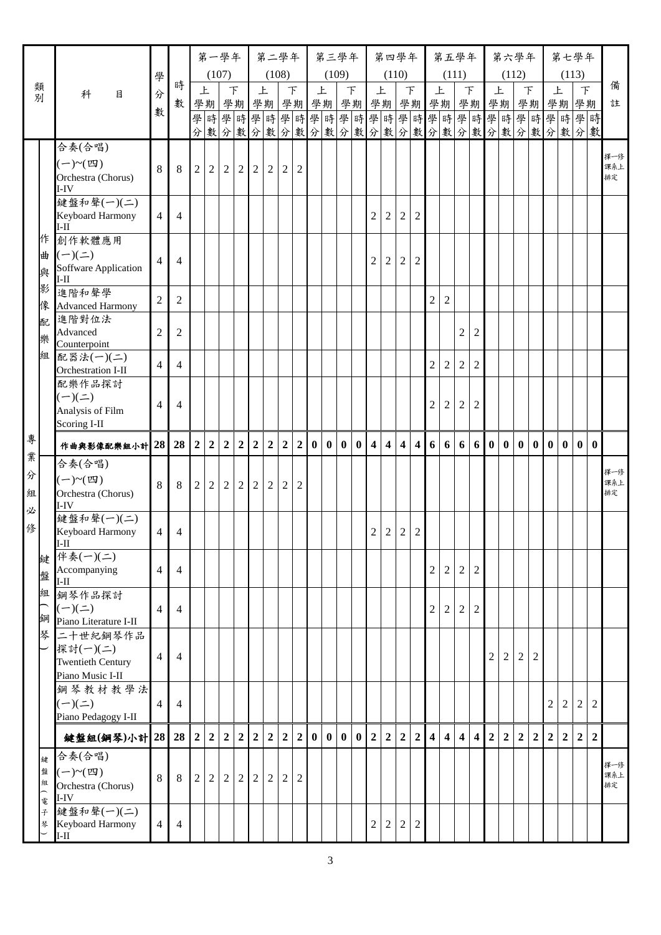|        |                                      |                          |                |                | 第一學年                       |                |                |                | 第二學年           |                  |                |          |              | 第三學年         |              |                |                   | 第四學年           |                |                         | 第五學年                    |                         |                         |                | 第六學年           |                |                |                |                | 第七學年                                             |                |            |
|--------|--------------------------------------|--------------------------|----------------|----------------|----------------------------|----------------|----------------|----------------|----------------|------------------|----------------|----------|--------------|--------------|--------------|----------------|-------------------|----------------|----------------|-------------------------|-------------------------|-------------------------|-------------------------|----------------|----------------|----------------|----------------|----------------|----------------|--------------------------------------------------|----------------|------------|
|        |                                      | 學                        |                |                | (107)                      |                |                |                | (108)          |                  |                |          | (109)        |              |              |                |                   | (110)          |                |                         |                         | (111)                   |                         |                | (112)          |                |                |                |                | (113)                                            |                |            |
| 類<br>別 | 科<br>目                               | 分                        | 時              |                | 上                          | F              |                | 上              |                | $\top$           |                |          | 上            | F            |              | 上              |                   | $\top$         |                | 上                       |                         |                         | F                       | 上              |                | $\top$         |                | 上              |                | $\top$                                           |                | 備          |
|        |                                      | 數                        | 數              |                | 學期 學期 學期 學期 學期 學期 學期 學期 學期 |                |                |                |                |                  |                |          |              |              |              |                |                   |                |                |                         |                         |                         |                         |                |                |                |                |                |                | 學期 學期 學期 學期 學期<br>學時學時學時學時學時學時學時學時學時學時學時學時學時學時學時 |                | 註          |
|        |                                      |                          |                |                |                            |                |                |                |                |                  |                |          |              |              |              |                |                   |                |                |                         |                         |                         |                         |                |                |                |                |                |                | 分數分數分數分數分數分數分數分數分數分數分數分數分數分數分數                   |                |            |
|        | 合奏(合唱)                               |                          |                |                |                            |                |                |                |                |                  |                |          |              |              |              |                |                   |                |                |                         |                         |                         |                         |                |                |                |                |                |                |                                                  |                |            |
|        | $(-)$ ~ $(\mathfrak{W})$             | 8                        | 8              | $\overline{2}$ | $\overline{2}$             | $\overline{2}$ | $\overline{2}$ | 2 <sup>1</sup> | $\sqrt{2}$     | $\overline{2}$   | 2              |          |              |              |              |                |                   |                |                |                         |                         |                         |                         |                |                |                |                |                |                |                                                  |                | 擇一修<br>課系上 |
|        | Orchestra (Chorus)<br>$I-IV$         |                          |                |                |                            |                |                |                |                |                  |                |          |              |              |              |                |                   |                |                |                         |                         |                         |                         |                |                |                |                |                |                |                                                  |                | 排定         |
|        | 鍵盤和聲(一)(二)                           |                          |                |                |                            |                |                |                |                |                  |                |          |              |              |              |                |                   |                |                |                         |                         |                         |                         |                |                |                |                |                |                |                                                  |                |            |
|        | Keyboard Harmony<br>$I-II$           | $\overline{4}$           | $\overline{4}$ |                |                            |                |                |                |                |                  |                |          |              |              |              | $\overline{c}$ | $\sqrt{2}$        | $\overline{c}$ | $\overline{2}$ |                         |                         |                         |                         |                |                |                |                |                |                |                                                  |                |            |
| 作      | 創作軟體應用                               |                          |                |                |                            |                |                |                |                |                  |                |          |              |              |              |                |                   |                |                |                         |                         |                         |                         |                |                |                |                |                |                |                                                  |                |            |
| 曲      | $(-)(\equiv)$                        | $\overline{4}$           | $\overline{4}$ |                |                            |                |                |                |                |                  |                |          |              |              |              | 2              | $\boldsymbol{2}$  | $\overline{c}$ | 2              |                         |                         |                         |                         |                |                |                |                |                |                |                                                  |                |            |
| 與      | Soffware Application<br>$I-II$       |                          |                |                |                            |                |                |                |                |                  |                |          |              |              |              |                |                   |                |                |                         |                         |                         |                         |                |                |                |                |                |                |                                                  |                |            |
| 影      | 進階和聲學                                |                          |                |                |                            |                |                |                |                |                  |                |          |              |              |              |                |                   |                |                |                         |                         |                         |                         |                |                |                |                |                |                |                                                  |                |            |
| 像      | <b>Advanced Harmony</b>              | $\overline{2}$           | 2              |                |                            |                |                |                |                |                  |                |          |              |              |              |                |                   |                |                | $\overline{2}$          | 2                       |                         |                         |                |                |                |                |                |                |                                                  |                |            |
| 配      | 進階對位法<br>Advanced                    | $\overline{c}$           | $\overline{2}$ |                |                            |                |                |                |                |                  |                |          |              |              |              |                |                   |                |                |                         |                         | $\sqrt{2}$              | $\overline{2}$          |                |                |                |                |                |                |                                                  |                |            |
| 樂      | Counterpoint                         |                          |                |                |                            |                |                |                |                |                  |                |          |              |              |              |                |                   |                |                |                         |                         |                         |                         |                |                |                |                |                |                |                                                  |                |            |
| 組      | 配器法(一)(二)<br>Orchestration I-II      | $\overline{4}$           | $\overline{4}$ |                |                            |                |                |                |                |                  |                |          |              |              |              |                |                   |                |                | $\overline{2}$          | $\overline{2}$          | $\overline{2}$          | $\overline{2}$          |                |                |                |                |                |                |                                                  |                |            |
|        | 配樂作品探討                               |                          |                |                |                            |                |                |                |                |                  |                |          |              |              |              |                |                   |                |                |                         |                         |                         |                         |                |                |                |                |                |                |                                                  |                |            |
|        | $(-)(\equiv)$                        | $\overline{4}$           | $\overline{4}$ |                |                            |                |                |                |                |                  |                |          |              |              |              |                |                   |                |                | $\mathfrak{2}$          | $\sqrt{2}$              | 2                       | $\overline{2}$          |                |                |                |                |                |                |                                                  |                |            |
|        | Analysis of Film<br>Scoring I-II     |                          |                |                |                            |                |                |                |                |                  |                |          |              |              |              |                |                   |                |                |                         |                         |                         |                         |                |                |                |                |                |                |                                                  |                |            |
| 專      | 作曲與影像配樂組小計 28 28                     |                          |                | $\overline{2}$ | $\overline{2}$             | $\overline{2}$ | $\overline{2}$ | $\overline{2}$ | $\overline{2}$ | $\boldsymbol{2}$ | $\overline{2}$ | $\bf{0}$ | $\bf{0}$     | $\mathbf{0}$ | $\mathbf{0}$ |                | $4 \mid 4 \mid 4$ |                | $\overline{4}$ | 6                       | 6                       | 6                       | 6 0                     |                | $\mathbf{0}$   | $\mathbf{0}$   | $\mathbf{0}$   | $\mathbf{0}$   | $\mathbf{0}$   | $\mathbf{0}$                                     | $\bf{0}$       |            |
| 業      | 合奏(合唱)                               |                          |                |                |                            |                |                |                |                |                  |                |          |              |              |              |                |                   |                |                |                         |                         |                         |                         |                |                |                |                |                |                |                                                  |                |            |
| 分      |                                      |                          |                |                |                            |                |                |                |                |                  |                |          |              |              |              |                |                   |                |                |                         |                         |                         |                         |                |                |                |                |                |                |                                                  |                | 擇一修<br>課系上 |
| 組      | Orchestra (Chorus)                   | 8                        | 8              | $\overline{2}$ | $\overline{2}$             | $\overline{2}$ | $\overline{2}$ | $\overline{2}$ | $\overline{2}$ | $\sqrt{2}$       | $\overline{2}$ |          |              |              |              |                |                   |                |                |                         |                         |                         |                         |                |                |                |                |                |                |                                                  |                | 排定         |
| 必      | I-IV<br>鍵盤和聲(一)(二)                   |                          |                |                |                            |                |                |                |                |                  |                |          |              |              |              |                |                   |                |                |                         |                         |                         |                         |                |                |                |                |                |                |                                                  |                |            |
| 俢      | Keyboard Harmony                     | $\overline{4}$           | $\overline{4}$ |                |                            |                |                |                |                |                  |                |          |              |              |              | $\overline{c}$ | $\sqrt{2}$        | $\sqrt{2}$     | $\sqrt{2}$     |                         |                         |                         |                         |                |                |                |                |                |                |                                                  |                |            |
|        | $I-II$                               |                          |                |                |                            |                |                |                |                |                  |                |          |              |              |              |                |                   |                |                |                         |                         |                         |                         |                |                |                |                |                |                |                                                  |                |            |
| 鍵      | 伴奏(一)(二)<br>Accompanying             | 4                        | $\overline{4}$ |                |                            |                |                |                |                |                  |                |          |              |              |              |                |                   |                |                | $\overline{2}$          | $\overline{2}$          | $\overline{2}$          | 2                       |                |                |                |                |                |                |                                                  |                |            |
| 盤      | $I-II$                               |                          |                |                |                            |                |                |                |                |                  |                |          |              |              |              |                |                   |                |                |                         |                         |                         |                         |                |                |                |                |                |                |                                                  |                |            |
| 組      | 鋼琴作品探討<br>$(-)(\equiv)$              | $\overline{4}$           |                |                |                            |                |                |                |                |                  |                |          |              |              |              |                |                   |                |                |                         |                         |                         |                         |                |                |                |                |                |                |                                                  |                |            |
| 鋼      | Piano Literature I-II                |                          | $\overline{4}$ |                |                            |                |                |                |                |                  |                |          |              |              |              |                |                   |                |                | $\sqrt{2}$              | $\sqrt{2}$              | 2                       | 2                       |                |                |                |                |                |                |                                                  |                |            |
| 琴      | 二十世紀鋼琴作品                             |                          |                |                |                            |                |                |                |                |                  |                |          |              |              |              |                |                   |                |                |                         |                         |                         |                         |                |                |                |                |                |                |                                                  |                |            |
|        | 探討(一)(二)<br><b>Twentieth Century</b> | $\overline{\mathcal{L}}$ | $\overline{4}$ |                |                            |                |                |                |                |                  |                |          |              |              |              |                |                   |                |                |                         |                         |                         |                         | $\overline{c}$ | 2              | $\overline{c}$ | 2              |                |                |                                                  |                |            |
|        | Piano Music I-II                     |                          |                |                |                            |                |                |                |                |                  |                |          |              |              |              |                |                   |                |                |                         |                         |                         |                         |                |                |                |                |                |                |                                                  |                |            |
|        | 鋼琴教材教學法                              |                          |                |                |                            |                |                |                |                |                  |                |          |              |              |              |                |                   |                |                |                         |                         |                         |                         |                |                |                |                |                |                |                                                  |                |            |
|        | $(-)(\equiv)$<br>Piano Pedagogy I-II | 4                        | $\overline{4}$ |                |                            |                |                |                |                |                  |                |          |              |              |              |                |                   |                |                |                         |                         |                         |                         |                |                |                |                | $\overline{2}$ | $\overline{2}$ | $\overline{c}$                                   | 2              |            |
|        |                                      |                          |                |                |                            |                |                |                |                |                  |                |          |              |              |              |                |                   |                |                |                         |                         |                         |                         |                |                |                |                |                |                |                                                  |                |            |
|        | 鍵盤組(鋼琴)小計 28 28                      |                          |                | $\overline{2}$ | $\boldsymbol{2}$           | $\overline{2}$ | $\overline{2}$ | $\overline{2}$ | $\overline{2}$ | $\overline{2}$   | $\overline{2}$ | $\bf{0}$ | $\mathbf{0}$ | $\mathbf{0}$ | $\bf{0}$     | 2 <sup>1</sup> | 2 <sup>1</sup>    | $\overline{2}$ | 2 <sup>1</sup> | $\overline{\mathbf{4}}$ | $\overline{\mathbf{4}}$ | $\overline{\mathbf{4}}$ | $\overline{\mathbf{4}}$ | $\overline{2}$ | $\overline{2}$ | $\overline{2}$ | $\overline{2}$ | $\overline{2}$ | 2 <sup>1</sup> | $\overline{2}$                                   | $\overline{2}$ |            |
| 鍵<br>盤 | 合奏(合唱)<br>$(-) \sim (\mathbb{Z})$    |                          |                |                |                            |                |                |                |                |                  |                |          |              |              |              |                |                   |                |                |                         |                         |                         |                         |                |                |                |                |                |                |                                                  |                | 擇一修        |
| 組      | Orchestra (Chorus)                   | 8                        | 8              | $\overline{2}$ | $\overline{2}$             | $\overline{2}$ | $\overline{2}$ | 2              | $\overline{2}$ | $\sqrt{2}$       | $\overline{2}$ |          |              |              |              |                |                   |                |                |                         |                         |                         |                         |                |                |                |                |                |                |                                                  |                | 課系上<br>排定  |
| 一電     | I-IV                                 |                          |                |                |                            |                |                |                |                |                  |                |          |              |              |              |                |                   |                |                |                         |                         |                         |                         |                |                |                |                |                |                |                                                  |                |            |
| 子<br>琴 | 鍵盤和聲(一)(二)<br>Keyboard Harmony       | $\overline{4}$           | 4              |                |                            |                |                |                |                |                  |                |          |              |              |              | $\overline{c}$ | $\sqrt{2}$        | $\overline{c}$ | $\overline{2}$ |                         |                         |                         |                         |                |                |                |                |                |                |                                                  |                |            |
|        | $I-I$                                |                          |                |                |                            |                |                |                |                |                  |                |          |              |              |              |                |                   |                |                |                         |                         |                         |                         |                |                |                |                |                |                |                                                  |                |            |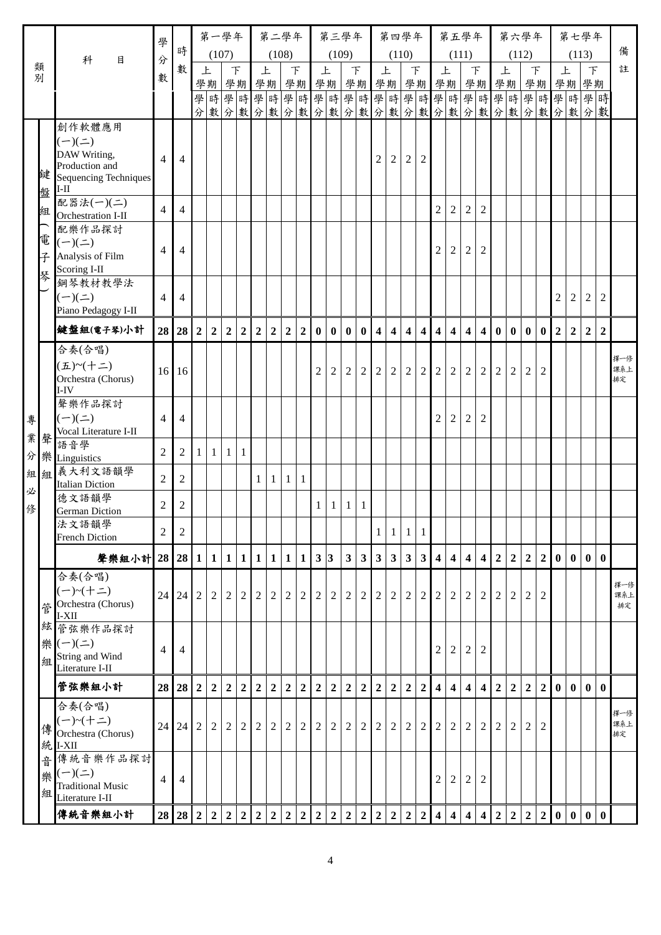|        |                                             | 學              |                |                | 第一學年           |                  |                |                | 第二學年             |                |                  |                  |                | 第三學年           |                  |                         |                   | 第四學年             |                |                         | 第五學年                    |                         |                         |                  |                | 第六學年           |                  |                  |                | 第七學年                                   |                |            |
|--------|---------------------------------------------|----------------|----------------|----------------|----------------|------------------|----------------|----------------|------------------|----------------|------------------|------------------|----------------|----------------|------------------|-------------------------|-------------------|------------------|----------------|-------------------------|-------------------------|-------------------------|-------------------------|------------------|----------------|----------------|------------------|------------------|----------------|----------------------------------------|----------------|------------|
|        | 科<br>目                                      | 分              | 時              |                | (107)          |                  |                |                | (108)            |                |                  |                  | (109)          |                |                  |                         | (110)             |                  |                |                         | (111)                   |                         |                         |                  | (112)          |                |                  |                  |                | (113)                                  |                | 備          |
| 類<br>別 |                                             | 數              | 數              |                | 上              |                  | F              | 上              |                  | F              |                  | 上                |                | 下              |                  | 上                       |                   | F                |                | 上                       |                         | F                       |                         | 上                |                | 下              |                  | 上                |                | $\top$                                 |                | 註          |
|        |                                             |                |                |                | 學期             |                  | 學期             | 學期             |                  |                | 學期               | 學期               |                | 學期             |                  | 學期                      |                   |                  |                | 學期學期                    |                         |                         | 學期                      |                  | 學期             |                | 學期               |                  |                | 學期學期<br>學時學時學時學時學時學時學時學時學時學時學時學時學時學時學時 |                |            |
|        |                                             |                |                |                |                |                  |                |                |                  |                |                  |                  |                |                |                  |                         |                   |                  |                |                         |                         |                         |                         |                  |                |                |                  |                  |                | 分數分數分數分數分數分數分數分數分數分數分數分數分數分數分數         |                |            |
|        | 創作軟體應用                                      |                |                |                |                |                  |                |                |                  |                |                  |                  |                |                |                  |                         |                   |                  |                |                         |                         |                         |                         |                  |                |                |                  |                  |                |                                        |                |            |
|        | $(-)(=)$                                    |                |                |                |                |                  |                |                |                  |                |                  |                  |                |                |                  |                         |                   |                  |                |                         |                         |                         |                         |                  |                |                |                  |                  |                |                                        |                |            |
|        | DAW Writing,<br>Production and              | 4              | $\overline{4}$ |                |                |                  |                |                |                  |                |                  |                  |                |                |                  | 2                       | 2                 | $\overline{2}$   | 2              |                         |                         |                         |                         |                  |                |                |                  |                  |                |                                        |                |            |
| 鍵      | Sequencing Techniques                       |                |                |                |                |                  |                |                |                  |                |                  |                  |                |                |                  |                         |                   |                  |                |                         |                         |                         |                         |                  |                |                |                  |                  |                |                                        |                |            |
| 盤      | $I-II$<br>配器法(一)(二)                         |                |                |                |                |                  |                |                |                  |                |                  |                  |                |                |                  |                         |                   |                  |                |                         |                         |                         |                         |                  |                |                |                  |                  |                |                                        |                |            |
| 組      | Orchestration I-II                          | $\overline{4}$ | $\overline{4}$ |                |                |                  |                |                |                  |                |                  |                  |                |                |                  |                         |                   |                  |                | $\overline{2}$          | $\overline{2}$          | 2                       | $\overline{2}$          |                  |                |                |                  |                  |                |                                        |                |            |
|        | 配樂作品探討                                      |                |                |                |                |                  |                |                |                  |                |                  |                  |                |                |                  |                         |                   |                  |                |                         |                         |                         |                         |                  |                |                |                  |                  |                |                                        |                |            |
| 電      | $(-)(=)$<br>Analysis of Film                | 4              | $\overline{4}$ |                |                |                  |                |                |                  |                |                  |                  |                |                |                  |                         |                   |                  |                | $\overline{2}$          | $\overline{2}$          | $\overline{2}$          | $\overline{2}$          |                  |                |                |                  |                  |                |                                        |                |            |
| 子      | Scoring I-II                                |                |                |                |                |                  |                |                |                  |                |                  |                  |                |                |                  |                         |                   |                  |                |                         |                         |                         |                         |                  |                |                |                  |                  |                |                                        |                |            |
| 琴      | 鋼琴教材教學法                                     |                |                |                |                |                  |                |                |                  |                |                  |                  |                |                |                  |                         |                   |                  |                |                         |                         |                         |                         |                  |                |                |                  |                  |                |                                        |                |            |
|        | $(-)(\equiv)$                               | 4              | $\overline{4}$ |                |                |                  |                |                |                  |                |                  |                  |                |                |                  |                         |                   |                  |                |                         |                         |                         |                         |                  |                |                |                  | $\overline{2}$   | $\overline{2}$ | 2                                      | 2              |            |
|        | Piano Pedagogy I-II                         |                |                |                |                |                  |                |                |                  |                |                  |                  |                |                |                  |                         |                   |                  |                |                         |                         |                         |                         |                  |                |                |                  |                  |                |                                        |                |            |
|        | 鍵盤組(電子琴)小計                                  |                | 28 28          | $\overline{2}$ | 2 <sup>1</sup> | $\overline{2}$   | $\overline{2}$ | 2 <sup>1</sup> | $\overline{2}$   | $\overline{2}$ | 2 <sup>1</sup>   | $\mathbf{0}$     | $\bf{0}$       | $\mathbf{0}$   | $\mathbf{0}$     | $\overline{\mathbf{4}}$ | $\overline{4}$    | $\overline{4}$   | $\overline{4}$ | $\overline{4}$          | $\overline{\mathbf{4}}$ | $\overline{4}$          | 4 0                     |                  |                | 0 0 0          |                  | $\overline{2}$   | 2 2            |                                        | $\overline{2}$ |            |
|        | 合奏(合唱)                                      |                |                |                |                |                  |                |                |                  |                |                  |                  |                |                |                  |                         |                   |                  |                |                         |                         |                         |                         |                  |                |                |                  |                  |                |                                        |                | 擇一修        |
|        | $(\pm)$ ~ $(+$ $=$ )<br>Orchestra (Chorus)  |                | 16 16          |                |                |                  |                |                |                  |                |                  | $\overline{2}$   | 2              | 2              | 2                | 2                       | $\overline{2}$    | $\overline{2}$   | $\overline{2}$ | 2 <sup>1</sup>          | 2                       | 2                       | 2                       | 2                | 2              | $\overline{2}$ | 2                |                  |                |                                        |                | 課系上<br>排定  |
|        | $I-IV$                                      |                |                |                |                |                  |                |                |                  |                |                  |                  |                |                |                  |                         |                   |                  |                |                         |                         |                         |                         |                  |                |                |                  |                  |                |                                        |                |            |
|        | 聲樂作品探討                                      |                |                |                |                |                  |                |                |                  |                |                  |                  |                |                |                  |                         |                   |                  |                |                         |                         |                         |                         |                  |                |                |                  |                  |                |                                        |                |            |
| 專      | $(-)(-)$<br>Vocal Literature I-II           | $\overline{4}$ | $\overline{4}$ |                |                |                  |                |                |                  |                |                  |                  |                |                |                  |                         |                   |                  |                | 2                       | $\overline{2}$          | $\overline{2}$          | $\overline{2}$          |                  |                |                |                  |                  |                |                                        |                |            |
| 業<br>聲 | 語音學                                         | $\overline{2}$ | 2              | $\mathbf{1}$   |                | $\mathbf{1}$     |                |                |                  |                |                  |                  |                |                |                  |                         |                   |                  |                |                         |                         |                         |                         |                  |                |                |                  |                  |                |                                        |                |            |
| 分      | 樂 Linguistics                               |                |                |                | -1             |                  | 1              |                |                  |                |                  |                  |                |                |                  |                         |                   |                  |                |                         |                         |                         |                         |                  |                |                |                  |                  |                |                                        |                |            |
| 組<br>組 | 義大利文語韻學<br><b>Italian Diction</b>           | $\overline{2}$ | $\overline{2}$ |                |                |                  |                | 1 <sup>1</sup> | 1                | $\mathbf{1}$   | $\mathbf{1}$     |                  |                |                |                  |                         |                   |                  |                |                         |                         |                         |                         |                  |                |                |                  |                  |                |                                        |                |            |
| 必      | 德文語韻學                                       | $\overline{c}$ | $\overline{2}$ |                |                |                  |                |                |                  |                |                  | $\mathbf{1}$     | $\mathbf{1}$   | $\vert$ 1      | -1               |                         |                   |                  |                |                         |                         |                         |                         |                  |                |                |                  |                  |                |                                        |                |            |
| 俢      | German Diction<br>法文語韻學                     |                |                |                |                |                  |                |                |                  |                |                  |                  |                |                |                  |                         |                   |                  |                |                         |                         |                         |                         |                  |                |                |                  |                  |                |                                        |                |            |
|        | <b>French Diction</b>                       | $\mathbf{2}$   | $\overline{2}$ |                |                |                  |                |                |                  |                |                  |                  |                |                |                  | $\mathbf{1}$            | $1 \mid 1$        |                  | -1             |                         |                         |                         |                         |                  |                |                |                  |                  |                |                                        |                |            |
|        | 聲樂組小計 28 28 1                               |                |                |                |                | 1 1              | 1 <sup>1</sup> | 1              | $\mathbf{1}$     | $\mathbf{1}$   | $\mathbf{1}$     | 3 3              |                | 3 <sup>1</sup> | $\mathbf{3}$     |                         | $3 \mid 3 \mid 3$ |                  | $\mathbf{3}$   | $\overline{4}$          | $\overline{\mathbf{4}}$ | $\overline{\mathbf{4}}$ | 4 <sup>1</sup>          | $\boldsymbol{2}$ | $\overline{2}$ | $\overline{2}$ | $\overline{2}$   | $\mathbf{0}$     |                | 0 <sup>1</sup>                         | $\mathbf{0}$   |            |
|        | 合奏(合唱)                                      |                |                |                |                |                  |                |                |                  |                |                  |                  |                |                |                  |                         |                   |                  |                |                         |                         |                         |                         |                  |                |                |                  |                  |                |                                        |                |            |
|        | $(-)$ ~ $(+=)$                              | 24             | 24             | $\overline{2}$ | $\overline{2}$ | $\sqrt{2}$       | 2              | $\overline{2}$ | $\overline{2}$   | $\overline{2}$ | $\overline{2}$   | $\overline{2}$   | 2              | $\overline{2}$ | $\overline{2}$   | $\overline{2}$          | $\overline{2}$    | $\overline{2}$   | 2              | 2                       | $\overline{2}$          | 2                       | $\overline{2}$          | 2                | 2              | $\overline{2}$ | 2                |                  |                |                                        |                | 擇一修<br>課系上 |
| 管      | Orchestra (Chorus)<br>$I-XII$               |                |                |                |                |                  |                |                |                  |                |                  |                  |                |                |                  |                         |                   |                  |                |                         |                         |                         |                         |                  |                |                |                  |                  |                |                                        |                | 排定         |
| 絃      | 管弦樂作品探討                                     |                |                |                |                |                  |                |                |                  |                |                  |                  |                |                |                  |                         |                   |                  |                |                         |                         |                         |                         |                  |                |                |                  |                  |                |                                        |                |            |
|        | 樂(一)(二)                                     | $\overline{4}$ | $\overline{4}$ |                |                |                  |                |                |                  |                |                  |                  |                |                |                  |                         |                   |                  |                | $\overline{2}$          | $\sqrt{2}$              | $\overline{2}$          | $\overline{2}$          |                  |                |                |                  |                  |                |                                        |                |            |
| 組      | String and Wind<br>Literature I-II          |                |                |                |                |                  |                |                |                  |                |                  |                  |                |                |                  |                         |                   |                  |                |                         |                         |                         |                         |                  |                |                |                  |                  |                |                                        |                |            |
|        | 管弦樂組小計                                      | 28             | 28             | $\mathbf{2}$   | 2 2            |                  | $\overline{2}$ | $\overline{2}$ | $\boldsymbol{2}$ | $\overline{2}$ | $\boldsymbol{2}$ | $\boldsymbol{2}$ | $\overline{2}$ | $\overline{2}$ | $\overline{2}$   | $\overline{2}$          | 2 2               |                  | $\overline{2}$ | $\overline{\mathbf{4}}$ | $\overline{\mathbf{4}}$ | $\overline{\mathbf{4}}$ | 4 <sup>1</sup>          | $\overline{2}$   | $\overline{2}$ | $\overline{2}$ | $\boldsymbol{2}$ | $\boldsymbol{0}$ | 0 <sup>1</sup> |                                        | $\bf{0}$       |            |
|        | 合奏(合唱)                                      |                |                |                |                |                  |                |                |                  |                |                  |                  |                |                |                  |                         |                   |                  |                |                         |                         |                         |                         |                  |                |                |                  |                  |                |                                        |                |            |
|        | $(-)$ ~ $(+=)$                              | 24             | 24             | $\overline{2}$ | $\overline{2}$ | $\overline{2}$   | 2              | $\overline{2}$ | $\overline{2}$   | $\overline{2}$ | $\overline{2}$   | $\overline{2}$   | 2              | $\overline{2}$ | $\overline{2}$   | $\overline{2}$          | $\overline{2}$    | $\overline{2}$   | 2              | 2                       | $\overline{2}$          | 2                       | 2                       | 2                | 2              | 2              | $\overline{2}$   |                  |                |                                        |                | 擇一修<br>課系上 |
| 傳<br>統 | Orchestra (Chorus)<br>I-XII                 |                |                |                |                |                  |                |                |                  |                |                  |                  |                |                |                  |                         |                   |                  |                |                         |                         |                         |                         |                  |                |                |                  |                  |                |                                        |                | 排定         |
| 音      | 傳統音樂作品探討                                    |                |                |                |                |                  |                |                |                  |                |                  |                  |                |                |                  |                         |                   |                  |                |                         |                         |                         |                         |                  |                |                |                  |                  |                |                                        |                |            |
| 樂      | $(-)(\underline{-})$                        | $\overline{4}$ | $\overline{4}$ |                |                |                  |                |                |                  |                |                  |                  |                |                |                  |                         |                   |                  |                | $\overline{2}$          | $\overline{2}$          | 2                       | $\overline{2}$          |                  |                |                |                  |                  |                |                                        |                |            |
| 組      | <b>Traditional Music</b><br>Literature I-II |                |                |                |                |                  |                |                |                  |                |                  |                  |                |                |                  |                         |                   |                  |                |                         |                         |                         |                         |                  |                |                |                  |                  |                |                                        |                |            |
|        | 傳統音樂組小計                                     |                | 28 28          | $\overline{2}$ | $2\vert$       | $\boldsymbol{2}$ | $\overline{2}$ | 2 <sup>1</sup> | $\mathbf{2}$     | $\overline{2}$ | $\boldsymbol{2}$ | $\boldsymbol{2}$ | $\overline{2}$ | $\overline{2}$ | $\boldsymbol{2}$ | $\boldsymbol{2}$        | $2\overline{ }$   | $\boldsymbol{2}$ | $\overline{2}$ | $\overline{\mathbf{4}}$ | $\overline{\mathbf{4}}$ | $\overline{\mathbf{4}}$ | $\overline{\mathbf{4}}$ | $\mathbf 2$      | $\overline{2}$ | 2 <sup>1</sup> | $\overline{2}$   | $\mathbf{0}$     |                | $0 \mid 0$                             | $\mathbf{0}$   |            |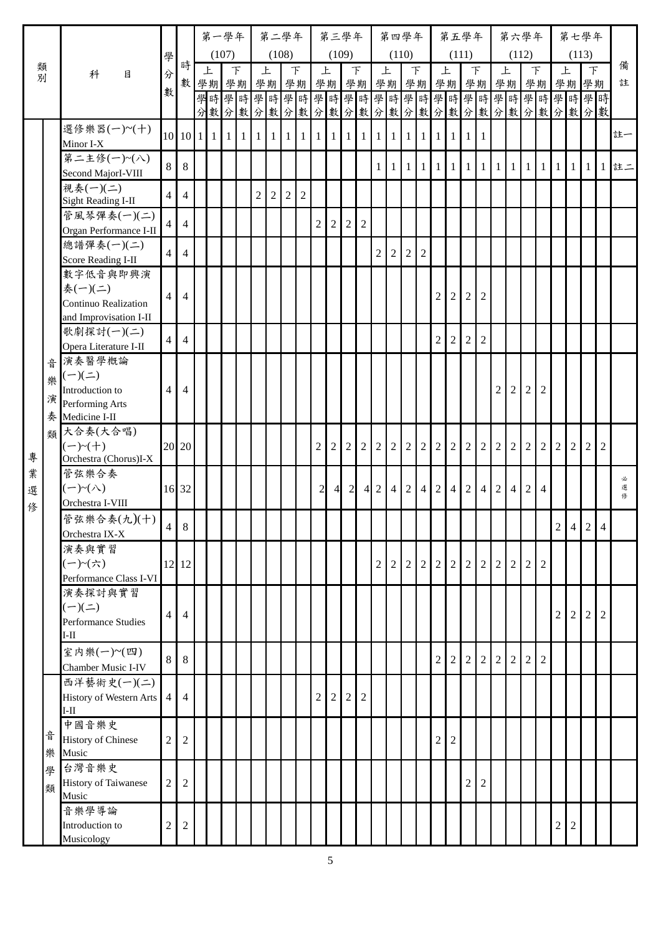|        |   |                                       |                |                                          | 第一學年                             |       |        |                | 第二學年           |                |                |                | 第三學年           |                |                |                 |                | 第四學年                           |                |                | 第五學年           |                |                        |                | 第六學年           |                  |                |                | 第七學年           |                   |   |        |
|--------|---|---------------------------------------|----------------|------------------------------------------|----------------------------------|-------|--------|----------------|----------------|----------------|----------------|----------------|----------------|----------------|----------------|-----------------|----------------|--------------------------------|----------------|----------------|----------------|----------------|------------------------|----------------|----------------|------------------|----------------|----------------|----------------|-------------------|---|--------|
|        |   |                                       | 學              |                                          |                                  | (107) |        |                | (108)          |                |                |                | (109)          |                |                |                 |                | (110)                          |                |                |                | (111)          |                        |                | (112)          |                  |                |                | (113)          |                   |   |        |
| 類別     |   | 科<br>目                                | 分              | 時                                        | 上<br>數 學期 學期                     |       | $\top$ |                | 上              | $\top$         |                | 上              |                | $\top$         |                | 上               |                | $\top$<br>學期 學期 學期 學期 學期 學期 學期 |                |                | 上              | $\top$         | 學期學期學期                 |                | 上              |                  | F              | 上              | 學期學期           | F                 |   | 備<br>註 |
|        |   |                                       | 數              |                                          | 學時學時學時學時學時學時學時學時學時學時學時學時學時學時     |       |        |                |                |                |                |                |                |                |                |                 |                |                                |                |                |                |                |                        |                |                |                  |                |                |                |                   |   |        |
|        |   |                                       |                |                                          | 分數分數分數分數分數分數分數分數分數分數分數分數分數分數分數分數 |       |        |                |                |                |                |                |                |                |                |                 |                |                                |                |                |                |                |                        |                |                |                  |                |                |                |                   |   |        |
|        |   | 選修樂器(一)~(十)                           |                | $10 \mid 10 \mid 1 \mid 1 \mid 1 \mid 1$ |                                  |       |        |                | 1111111        |                |                |                | 111111111      |                |                |                 |                | 1 1                            | $1\vert$       | $\vert$ 1      | $\vert$ 1      | 1 I 1          |                        |                |                |                  |                |                |                |                   |   | 註一     |
|        |   | Minor I-X<br>第二主修(一)~(八)              |                |                                          |                                  |       |        |                |                |                |                |                |                |                |                |                 |                |                                |                |                |                |                |                        |                |                |                  |                |                |                |                   |   |        |
|        |   | Second MajorI-VIII                    | 8              | 8                                        |                                  |       |        |                |                |                |                |                |                |                |                | $\mathbf{1}$    |                | 1 1 1 1 1                      |                |                |                |                | $1 \mid 1 \mid 1 \mid$ |                |                | 1 1              | $\mathbf{1}$   | 1 <sup>1</sup> |                | $1 \mid 1 \mid 1$ |   | 註二     |
|        |   | 視奏(一)(二)<br><b>Sight Reading I-II</b> | $\overline{4}$ | $\overline{4}$                           |                                  |       |        | $\overline{2}$ | $\overline{2}$ | $\overline{2}$ | $\overline{2}$ |                |                |                |                |                 |                |                                |                |                |                |                |                        |                |                |                  |                |                |                |                   |   |        |
|        |   | 管風琴彈奏(一)(二)                           | $\overline{4}$ | $\overline{4}$                           |                                  |       |        |                |                |                |                | $\overline{2}$ | $\overline{2}$ | 2              | $\overline{2}$ |                 |                |                                |                |                |                |                |                        |                |                |                  |                |                |                |                   |   |        |
|        |   | Organ Performance I-II<br>總譜彈奏(一)(二)  |                |                                          |                                  |       |        |                |                |                |                |                |                |                |                |                 |                |                                |                |                |                |                |                        |                |                |                  |                |                |                |                   |   |        |
|        |   | Score Reading I-II                    | $\overline{4}$ | $\overline{4}$                           |                                  |       |        |                |                |                |                |                |                |                |                | $\overline{2}$  | $\overline{2}$ | $\overline{2}$                 | $\overline{2}$ |                |                |                |                        |                |                |                  |                |                |                |                   |   |        |
|        |   | 數字低音與即興演<br>奏(一)(二)                   |                |                                          |                                  |       |        |                |                |                |                |                |                |                |                |                 |                |                                |                |                |                |                |                        |                |                |                  |                |                |                |                   |   |        |
|        |   | Continuo Realization                  | $\overline{4}$ | 4                                        |                                  |       |        |                |                |                |                |                |                |                |                |                 |                |                                |                | $\overline{2}$ | $\overline{2}$ | 2 <sup>1</sup> | $\overline{2}$         |                |                |                  |                |                |                |                   |   |        |
|        |   | and Improvisation I-II                |                |                                          |                                  |       |        |                |                |                |                |                |                |                |                |                 |                |                                |                |                |                |                |                        |                |                |                  |                |                |                |                   |   |        |
|        |   | 歌劇探討(一)(二)<br>Opera Literature I-II   | $\overline{4}$ | $\overline{4}$                           |                                  |       |        |                |                |                |                |                |                |                |                |                 |                |                                |                | $\overline{2}$ | $\overline{2}$ | $\overline{2}$ | $\overline{2}$         |                |                |                  |                |                |                |                   |   |        |
|        | 音 | 演奏醫學概論                                |                |                                          |                                  |       |        |                |                |                |                |                |                |                |                |                 |                |                                |                |                |                |                |                        |                |                |                  |                |                |                |                   |   |        |
|        | 樂 | $(-)(\le)$<br>Introduction to         | $\overline{4}$ | $\overline{4}$                           |                                  |       |        |                |                |                |                |                |                |                |                |                 |                |                                |                |                |                |                |                        | $\overline{2}$ | $\overline{2}$ | $\boldsymbol{2}$ | $\sqrt{2}$     |                |                |                   |   |        |
|        | 演 | Performing Arts                       |                |                                          |                                  |       |        |                |                |                |                |                |                |                |                |                 |                |                                |                |                |                |                |                        |                |                |                  |                |                |                |                   |   |        |
|        | 奏 | Medicine I-II<br>類大合奏(大合唱)            |                |                                          |                                  |       |        |                |                |                |                |                |                |                |                |                 |                |                                |                |                |                |                |                        |                |                |                  |                |                |                |                   |   |        |
|        |   | $(-)$ ~ $(+)$                         |                | 20 20                                    |                                  |       |        |                |                |                |                | $\overline{2}$ | $\overline{2}$ | $\overline{2}$ | 2              | $\overline{2}$  | $\overline{2}$ | $\sqrt{2}$                     | $\overline{2}$ | 2 <sup>1</sup> | $\overline{2}$ |                | $2 \mid 2 \mid 2$      |                | 2              | $\overline{2}$   | $\overline{2}$ | $\overline{2}$ | $\overline{2}$ | $\overline{2}$    | 2 |        |
| 專      |   | Orchestra (Chorus)I-X                 |                |                                          |                                  |       |        |                |                |                |                |                |                |                |                |                 |                |                                |                |                |                |                |                        |                |                |                  |                |                |                |                   |   |        |
| 業<br>選 |   | 管弦樂合奏<br>$(-)$ ~ $(\wedge)$           |                | 16 32                                    |                                  |       |        |                |                |                |                | $\overline{2}$ | $\overline{4}$ | $\overline{2}$ |                | $4\overline{2}$ | $\overline{4}$ | 2                              | $\overline{4}$ | 2              | $\overline{4}$ |                | 2 4 2                  |                | $\overline{4}$ | $\overline{2}$   | $\overline{4}$ |                |                |                   |   | 必<br>選 |
| 修      |   | Orchestra I-VIII                      |                |                                          |                                  |       |        |                |                |                |                |                |                |                |                |                 |                |                                |                |                |                |                |                        |                |                |                  |                |                |                |                   |   | 修      |
|        |   | 管弦樂合奏(九)(十)<br>Orchestra IX-X         | 4              | 8                                        |                                  |       |        |                |                |                |                |                |                |                |                |                 |                |                                |                |                |                |                |                        |                |                |                  |                | $\overline{2}$ |                | $4 \mid 2 \mid 4$ |   |        |
|        |   | 演奏與實習                                 |                |                                          |                                  |       |        |                |                |                |                |                |                |                |                |                 |                |                                |                |                |                |                |                        |                |                |                  |                |                |                |                   |   |        |
|        |   | (一)~(六)                               |                | 12 12                                    |                                  |       |        |                |                |                |                |                |                |                |                | $\overline{c}$  | $\overline{2}$ | $\sqrt{2}$                     | $\overline{2}$ | $\overline{2}$ | $\overline{2}$ | $2\vert$       | $\overline{2}$         | $\overline{2}$ | 2              | $\mathfrak{2}$   | $\overline{2}$ |                |                |                   |   |        |
|        |   | Performance Class I-VI<br>演奏探討與實習     |                |                                          |                                  |       |        |                |                |                |                |                |                |                |                |                 |                |                                |                |                |                |                |                        |                |                |                  |                |                |                |                   |   |        |
|        |   | $(-)(\equiv)$                         | $\overline{4}$ | $\overline{4}$                           |                                  |       |        |                |                |                |                |                |                |                |                |                 |                |                                |                |                |                |                |                        |                |                |                  |                | $\overline{2}$ | 2 <sup>1</sup> | 2 <sup>1</sup>    | 2 |        |
|        |   | Performance Studies<br>$I-II$         |                |                                          |                                  |       |        |                |                |                |                |                |                |                |                |                 |                |                                |                |                |                |                |                        |                |                |                  |                |                |                |                   |   |        |
|        |   | 室内樂(一)~(四)                            | 8              | 8                                        |                                  |       |        |                |                |                |                |                |                |                |                |                 |                |                                |                | $\overline{2}$ | $\overline{2}$ | $\overline{2}$ | 2 <sup>1</sup>         | $\overline{2}$ | 2              | $\overline{2}$   | $\overline{2}$ |                |                |                   |   |        |
|        |   | Chamber Music I-IV<br>西洋藝術史(一)(二)     |                |                                          |                                  |       |        |                |                |                |                |                |                |                |                |                 |                |                                |                |                |                |                |                        |                |                |                  |                |                |                |                   |   |        |
|        |   | History of Western Arts               | $\overline{4}$ | $\overline{4}$                           |                                  |       |        |                |                |                |                | $\overline{2}$ | $\overline{2}$ | $\overline{2}$ | $\overline{2}$ |                 |                |                                |                |                |                |                |                        |                |                |                  |                |                |                |                   |   |        |
|        |   | $\rm I\text{-}II$                     |                |                                          |                                  |       |        |                |                |                |                |                |                |                |                |                 |                |                                |                |                |                |                |                        |                |                |                  |                |                |                |                   |   |        |
|        | 音 | 中國音樂史<br><b>History of Chinese</b>    | $\overline{2}$ | 2                                        |                                  |       |        |                |                |                |                |                |                |                |                |                 |                |                                |                | 2              | $\sqrt{2}$     |                |                        |                |                |                  |                |                |                |                   |   |        |
|        | 樂 | Music                                 |                |                                          |                                  |       |        |                |                |                |                |                |                |                |                |                 |                |                                |                |                |                |                |                        |                |                |                  |                |                |                |                   |   |        |
|        | 學 | 台灣音樂史<br><b>History of Taiwanese</b>  | $\overline{2}$ | $\overline{2}$                           |                                  |       |        |                |                |                |                |                |                |                |                |                 |                |                                |                |                |                | $\overline{c}$ | $\boldsymbol{2}$       |                |                |                  |                |                |                |                   |   |        |
|        | 類 | Music                                 |                |                                          |                                  |       |        |                |                |                |                |                |                |                |                |                 |                |                                |                |                |                |                |                        |                |                |                  |                |                |                |                   |   |        |
|        |   | 音樂學導論<br>Introduction to              |                |                                          |                                  |       |        |                |                |                |                |                |                |                |                |                 |                |                                |                |                |                |                |                        |                |                |                  |                |                | 2              |                   |   |        |
|        |   | Musicology                            | $\overline{c}$ | 2                                        |                                  |       |        |                |                |                |                |                |                |                |                |                 |                |                                |                |                |                |                |                        |                |                |                  |                | 2              |                |                   |   |        |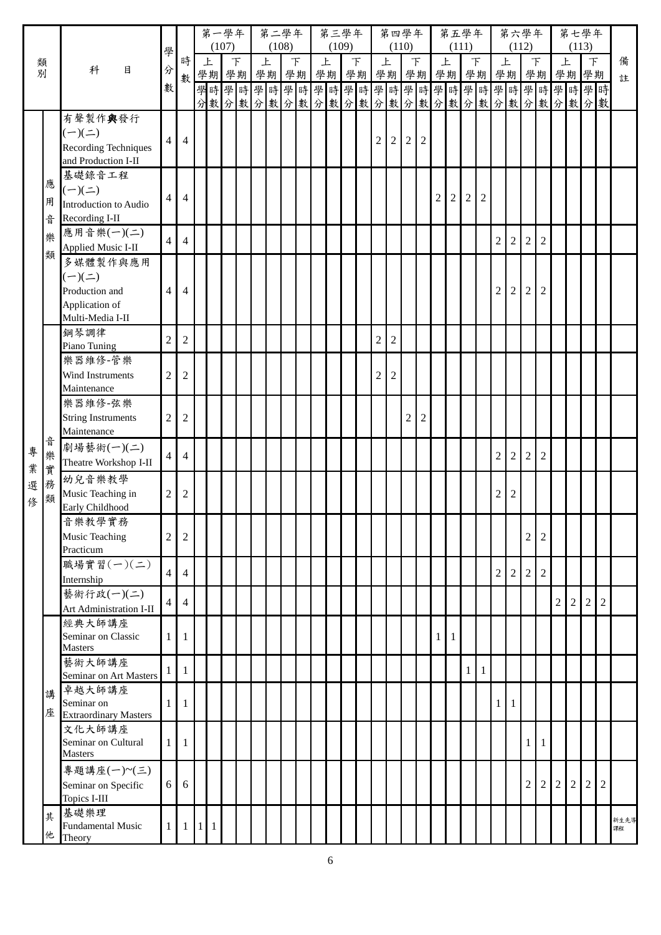|    |        |                                              |                |                |           | 第一學年 |                 |  | 第二學年       |        |    |   | 第三學年  |        |    |                                |                  | 第四學年           |                |                | 第五學年       |              |                |                |                | 第六學年             |                |                |                | 第七學年           |                |      |
|----|--------|----------------------------------------------|----------------|----------------|-----------|------|-----------------|--|------------|--------|----|---|-------|--------|----|--------------------------------|------------------|----------------|----------------|----------------|------------|--------------|----------------|----------------|----------------|------------------|----------------|----------------|----------------|----------------|----------------|------|
|    |        |                                              | 學              | 時              |           | 上    | (107)<br>$\top$ |  | (108)<br>上 | $\top$ |    | 上 | (109) | $\top$ |    | 上                              | (110)            | $\top$         |                |                | 上          | (111)        | $\top$         | 上              | (112)          | $\top$           |                | 上              | (113)          | F              |                | 備    |
| 類別 |        | 科<br>目                                       | 分              | 數              |           | 學期學期 |                 |  | 學期         |        | 學期 |   | 學期    |        | 學期 | 學期                             |                  |                | 學期             | 學期             |            |              | 學期             |                | 學期             | 學期               |                | 學期             |                | 學期             |                | 註    |
|    |        |                                              | 數              |                |           |      |                 |  |            |        |    |   |       |        |    | 學時學時學時學時學時學時學時學時學時學時學時學時學時學時學時 |                  |                |                |                |            |              |                |                |                |                  |                |                |                |                |                |      |
|    |        |                                              |                |                |           |      |                 |  |            |        |    |   |       |        |    | 分數分數分數分數分數分數分數分數分數分數分數分數分數分數分數 |                  |                |                |                |            |              |                |                |                |                  |                |                |                |                |                |      |
|    |        | 有聲製作與發行                                      |                |                |           |      |                 |  |            |        |    |   |       |        |    |                                |                  |                |                |                |            |              |                |                |                |                  |                |                |                |                |                |      |
|    |        | $(-)(\equiv)$<br><b>Recording Techniques</b> | $\overline{4}$ | $\overline{4}$ |           |      |                 |  |            |        |    |   |       |        |    | 2                              | $\overline{2}$   | $\overline{2}$ | $\overline{2}$ |                |            |              |                |                |                |                  |                |                |                |                |                |      |
|    |        | and Production I-II                          |                |                |           |      |                 |  |            |        |    |   |       |        |    |                                |                  |                |                |                |            |              |                |                |                |                  |                |                |                |                |                |      |
|    |        | 基礎錄音工程                                       |                |                |           |      |                 |  |            |        |    |   |       |        |    |                                |                  |                |                |                |            |              |                |                |                |                  |                |                |                |                |                |      |
|    | 應      | $(-)(\le)$                                   | 4              | 4              |           |      |                 |  |            |        |    |   |       |        |    |                                |                  |                |                | $\overline{c}$ | $\sqrt{2}$ | $\sqrt{2}$   | $\overline{2}$ |                |                |                  |                |                |                |                |                |      |
|    | 用      | Introduction to Audio                        |                |                |           |      |                 |  |            |        |    |   |       |        |    |                                |                  |                |                |                |            |              |                |                |                |                  |                |                |                |                |                |      |
|    | 곱      | Recording I-II                               |                |                |           |      |                 |  |            |        |    |   |       |        |    |                                |                  |                |                |                |            |              |                |                |                |                  |                |                |                |                |                |      |
|    | 樂      | 應用音樂(一)(二)<br><b>Applied Music I-II</b>      | 4              | 4              |           |      |                 |  |            |        |    |   |       |        |    |                                |                  |                |                |                |            |              |                | $\mathfrak{2}$ | $\overline{2}$ | $\overline{2}$   | $\overline{2}$ |                |                |                |                |      |
|    | 類      | 多媒體製作與應用                                     |                |                |           |      |                 |  |            |        |    |   |       |        |    |                                |                  |                |                |                |            |              |                |                |                |                  |                |                |                |                |                |      |
|    |        | $(-)(\underline{-})$                         |                |                |           |      |                 |  |            |        |    |   |       |        |    |                                |                  |                |                |                |            |              |                |                |                |                  |                |                |                |                |                |      |
|    |        | Production and                               | 4              | 4              |           |      |                 |  |            |        |    |   |       |        |    |                                |                  |                |                |                |            |              |                | $\overline{2}$ | $\overline{2}$ | $\overline{2}$   | $\overline{2}$ |                |                |                |                |      |
|    |        | Application of                               |                |                |           |      |                 |  |            |        |    |   |       |        |    |                                |                  |                |                |                |            |              |                |                |                |                  |                |                |                |                |                |      |
|    |        | Multi-Media I-II<br>鋼琴調律                     |                |                |           |      |                 |  |            |        |    |   |       |        |    |                                |                  |                |                |                |            |              |                |                |                |                  |                |                |                |                |                |      |
|    |        | Piano Tuning                                 | $\overline{2}$ | $\mathfrak{2}$ |           |      |                 |  |            |        |    |   |       |        |    | $\boldsymbol{2}$               | $\boldsymbol{2}$ |                |                |                |            |              |                |                |                |                  |                |                |                |                |                |      |
|    |        | 樂器維修-管樂                                      |                |                |           |      |                 |  |            |        |    |   |       |        |    |                                |                  |                |                |                |            |              |                |                |                |                  |                |                |                |                |                |      |
|    |        | Wind Instruments                             | $\overline{c}$ | $\overline{c}$ |           |      |                 |  |            |        |    |   |       |        |    | $\overline{c}$                 | $\mathfrak 2$    |                |                |                |            |              |                |                |                |                  |                |                |                |                |                |      |
|    |        | Maintenance                                  |                |                |           |      |                 |  |            |        |    |   |       |        |    |                                |                  |                |                |                |            |              |                |                |                |                  |                |                |                |                |                |      |
|    |        | 樂器維修-弦樂<br><b>String Instruments</b>         | $\overline{c}$ | $\overline{c}$ |           |      |                 |  |            |        |    |   |       |        |    |                                |                  | $\overline{2}$ | $\overline{2}$ |                |            |              |                |                |                |                  |                |                |                |                |                |      |
|    |        | Maintenance                                  |                |                |           |      |                 |  |            |        |    |   |       |        |    |                                |                  |                |                |                |            |              |                |                |                |                  |                |                |                |                |                |      |
| 專  | 곱<br>樂 | 劇場藝術(一)(二)                                   |                |                |           |      |                 |  |            |        |    |   |       |        |    |                                |                  |                |                |                |            |              |                |                |                |                  |                |                |                |                |                |      |
| 業  | 實      | Theatre Workshop I-II                        | $\overline{4}$ | 4              |           |      |                 |  |            |        |    |   |       |        |    |                                |                  |                |                |                |            |              |                | $\overline{2}$ | $\overline{2}$ | $\overline{2}$   | $\overline{2}$ |                |                |                |                |      |
| 選  | 務      | 幼兒音樂教學                                       |                |                |           |      |                 |  |            |        |    |   |       |        |    |                                |                  |                |                |                |            |              |                |                |                |                  |                |                |                |                |                |      |
| 俢  | 類      | Music Teaching in<br>Early Childhood         | $\overline{2}$ | $\overline{c}$ |           |      |                 |  |            |        |    |   |       |        |    |                                |                  |                |                |                |            |              |                | 2              | 2              |                  |                |                |                |                |                |      |
|    |        | 音樂教學實務                                       |                |                |           |      |                 |  |            |        |    |   |       |        |    |                                |                  |                |                |                |            |              |                |                |                |                  |                |                |                |                |                |      |
|    |        | Music Teaching                               | $\overline{c}$ | $\overline{2}$ |           |      |                 |  |            |        |    |   |       |        |    |                                |                  |                |                |                |            |              |                |                |                | $\overline{c}$   | $\sqrt{2}$     |                |                |                |                |      |
|    |        | Practicum                                    |                |                |           |      |                 |  |            |        |    |   |       |        |    |                                |                  |                |                |                |            |              |                |                |                |                  |                |                |                |                |                |      |
|    |        | 職場實習(一)(二)                                   | $\overline{4}$ | $\overline{4}$ |           |      |                 |  |            |        |    |   |       |        |    |                                |                  |                |                |                |            |              |                | $\mathfrak{2}$ | $\overline{2}$ | $\boldsymbol{2}$ | $\overline{c}$ |                |                |                |                |      |
|    |        | Internship<br>藝術行政(一)(二)                     |                |                |           |      |                 |  |            |        |    |   |       |        |    |                                |                  |                |                |                |            |              |                |                |                |                  |                |                |                |                |                |      |
|    |        | Art Administration I-II                      | 4              | $\overline{4}$ |           |      |                 |  |            |        |    |   |       |        |    |                                |                  |                |                |                |            |              |                |                |                |                  |                | $\overline{2}$ | 2              | $\overline{2}$ | 2              |      |
|    |        | 經典大師講座                                       |                |                |           |      |                 |  |            |        |    |   |       |        |    |                                |                  |                |                |                |            |              |                |                |                |                  |                |                |                |                |                |      |
|    |        | Seminar on Classic                           | 1              | 1              |           |      |                 |  |            |        |    |   |       |        |    |                                |                  |                |                | 1              | 1          |              |                |                |                |                  |                |                |                |                |                |      |
|    |        | <b>Masters</b><br>藝術大師講座                     |                |                |           |      |                 |  |            |        |    |   |       |        |    |                                |                  |                |                |                |            |              |                |                |                |                  |                |                |                |                |                |      |
|    |        | Seminar on Art Masters                       | 1              | 1              |           |      |                 |  |            |        |    |   |       |        |    |                                |                  |                |                |                |            | $\mathbf{1}$ | $\mathbf{1}$   |                |                |                  |                |                |                |                |                |      |
|    | 講      | 卓越大師講座                                       |                |                |           |      |                 |  |            |        |    |   |       |        |    |                                |                  |                |                |                |            |              |                |                |                |                  |                |                |                |                |                |      |
|    | 座      | Seminar on<br><b>Extraordinary Masters</b>   | 1              | 1              |           |      |                 |  |            |        |    |   |       |        |    |                                |                  |                |                |                |            |              |                | 1              | -1             |                  |                |                |                |                |                |      |
|    |        | 文化大師講座                                       |                |                |           |      |                 |  |            |        |    |   |       |        |    |                                |                  |                |                |                |            |              |                |                |                |                  |                |                |                |                |                |      |
|    |        | Seminar on Cultural                          | 1              | 1              |           |      |                 |  |            |        |    |   |       |        |    |                                |                  |                |                |                |            |              |                |                |                | $1\vert$         | 1              |                |                |                |                |      |
|    |        | <b>Masters</b>                               |                |                |           |      |                 |  |            |        |    |   |       |        |    |                                |                  |                |                |                |            |              |                |                |                |                  |                |                |                |                |                |      |
|    |        | 專題講座(一)~(三)<br>Seminar on Specific           | 6              | 6              |           |      |                 |  |            |        |    |   |       |        |    |                                |                  |                |                |                |            |              |                |                |                | $\mathbf{2}$     | $\sqrt{2}$     | $\overline{2}$ | $\overline{2}$ | $\overline{2}$ | $\overline{2}$ |      |
|    |        | Topics I-III                                 |                |                |           |      |                 |  |            |        |    |   |       |        |    |                                |                  |                |                |                |            |              |                |                |                |                  |                |                |                |                |                |      |
|    | 其      | 基礎樂理                                         |                |                |           |      |                 |  |            |        |    |   |       |        |    |                                |                  |                |                |                |            |              |                |                |                |                  |                |                |                |                |                | 新生先導 |
|    | 他      | <b>Fundamental Music</b><br>Theory           | 1              | 1              | $\vert$ 1 | -1   |                 |  |            |        |    |   |       |        |    |                                |                  |                |                |                |            |              |                |                |                |                  |                |                |                |                |                | 課程   |